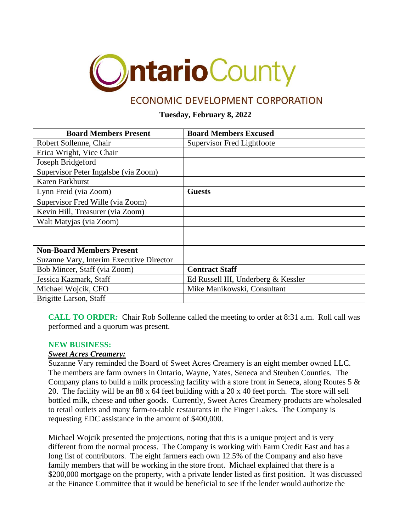

# ECONOMIC DEVELOPMENT CORPORATION

## **Tuesday, February 8, 2022**

| <b>Board Members Present</b>             | <b>Board Members Excused</b>        |
|------------------------------------------|-------------------------------------|
| Robert Sollenne, Chair                   | Supervisor Fred Lightfoote          |
| Erica Wright, Vice Chair                 |                                     |
| Joseph Bridgeford                        |                                     |
| Supervisor Peter Ingalsbe (via Zoom)     |                                     |
| <b>Karen Parkhurst</b>                   |                                     |
| Lynn Freid (via Zoom)                    | <b>Guests</b>                       |
| Supervisor Fred Wille (via Zoom)         |                                     |
| Kevin Hill, Treasurer (via Zoom)         |                                     |
| Walt Matyjas (via Zoom)                  |                                     |
|                                          |                                     |
|                                          |                                     |
| <b>Non-Board Members Present</b>         |                                     |
| Suzanne Vary, Interim Executive Director |                                     |
| Bob Mincer, Staff (via Zoom)             | <b>Contract Staff</b>               |
| Jessica Kazmark, Staff                   | Ed Russell III, Underberg & Kessler |
| Michael Wojcik, CFO                      | Mike Manikowski, Consultant         |
| Brigitte Larson, Staff                   |                                     |

**CALL TO ORDER:** Chair Rob Sollenne called the meeting to order at 8:31 a.m. Roll call was performed and a quorum was present.

#### **NEW BUSINESS:**

#### *Sweet Acres Creamery:*

Suzanne Vary reminded the Board of Sweet Acres Creamery is an eight member owned LLC. The members are farm owners in Ontario, Wayne, Yates, Seneca and Steuben Counties. The Company plans to build a milk processing facility with a store front in Seneca, along Routes 5 & 20. The facility will be an 88 x 64 feet building with a 20 x 40 feet porch. The store will sell bottled milk, cheese and other goods. Currently, Sweet Acres Creamery products are wholesaled to retail outlets and many farm-to-table restaurants in the Finger Lakes. The Company is requesting EDC assistance in the amount of \$400,000.

Michael Wojcik presented the projections, noting that this is a unique project and is very different from the normal process. The Company is working with Farm Credit East and has a long list of contributors. The eight farmers each own 12.5% of the Company and also have family members that will be working in the store front. Michael explained that there is a \$200,000 mortgage on the property, with a private lender listed as first position. It was discussed at the Finance Committee that it would be beneficial to see if the lender would authorize the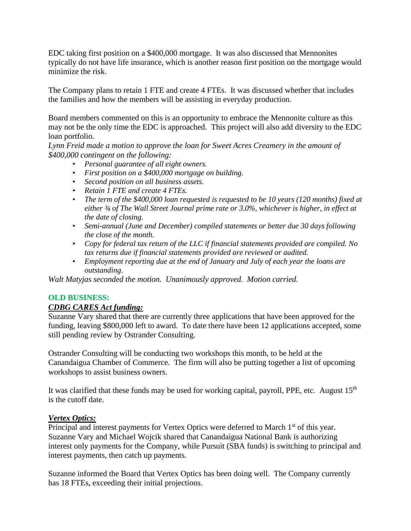EDC taking first position on a \$400,000 mortgage. It was also discussed that Mennonites typically do not have life insurance, which is another reason first position on the mortgage would minimize the risk.

The Company plans to retain 1 FTE and create 4 FTEs. It was discussed whether that includes the families and how the members will be assisting in everyday production.

Board members commented on this is an opportunity to embrace the Mennonite culture as this may not be the only time the EDC is approached. This project will also add diversity to the EDC loan portfolio.

*Lynn Freid made a motion to approve the loan for Sweet Acres Creamery in the amount of \$400,000 contingent on the following:*

- *Personal guarantee of all eight owners.*
- *First position on a \$400,000 mortgage on building.*
- *Second position on all business assets.*
- *Retain 1 FTE and create 4 FTEs.*
- *The term of the \$400,000 loan requested is requested to be 10 years (120 months) fixed at either ¾ of The Wall Street Journal prime rate or 3.0%, whichever is higher, in effect at the date of closing.*
- *Semi-annual (June and December) compiled statements or better due 30 days following the close of the month.*
- *Copy for federal tax return of the LLC if financial statements provided are compiled. No tax returns due if financial statements provided are reviewed or audited.*
- *Employment reporting due at the end of January and July of each year the loans are outstanding.*

*Walt Matyjas seconded the motion. Unanimously approved. Motion carried.*

#### **OLD BUSINESS:**

#### *CDBG CARES Act funding:*

Suzanne Vary shared that there are currently three applications that have been approved for the funding, leaving \$800,000 left to award. To date there have been 12 applications accepted, some still pending review by Ostrander Consulting.

Ostrander Consulting will be conducting two workshops this month, to be held at the Canandaigua Chamber of Commerce. The firm will also be putting together a list of upcoming workshops to assist business owners.

It was clarified that these funds may be used for working capital, payroll, PPE, etc. August 15<sup>th</sup> is the cutoff date.

#### *Vertex Optics:*

Principal and interest payments for Vertex Optics were deferred to March 1<sup>st</sup> of this year. Suzanne Vary and Michael Wojcik shared that Canandaigua National Bank is authorizing interest only payments for the Company, while Pursuit (SBA funds) is switching to principal and interest payments, then catch up payments.

Suzanne informed the Board that Vertex Optics has been doing well. The Company currently has 18 FTEs, exceeding their initial projections.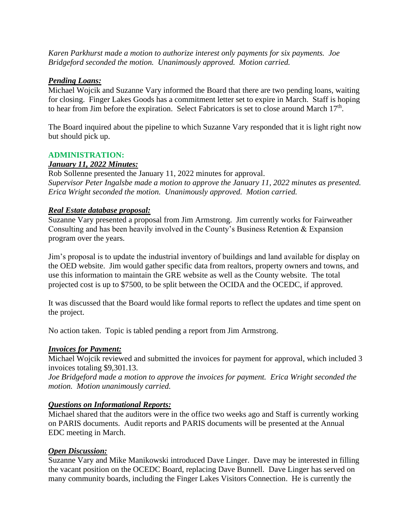*Karen Parkhurst made a motion to authorize interest only payments for six payments. Joe Bridgeford seconded the motion. Unanimously approved. Motion carried.*

## *Pending Loans:*

Michael Wojcik and Suzanne Vary informed the Board that there are two pending loans, waiting for closing. Finger Lakes Goods has a commitment letter set to expire in March. Staff is hoping to hear from Jim before the expiration. Select Fabricators is set to close around March  $17<sup>th</sup>$ .

The Board inquired about the pipeline to which Suzanne Vary responded that it is light right now but should pick up.

#### **ADMINISTRATION:**

## *January 11, 2022 Minutes:*

Rob Sollenne presented the January 11, 2022 minutes for approval. *Supervisor Peter Ingalsbe made a motion to approve the January 11, 2022 minutes as presented. Erica Wright seconded the motion. Unanimously approved. Motion carried.*

## *Real Estate database proposal:*

Suzanne Vary presented a proposal from Jim Armstrong. Jim currently works for Fairweather Consulting and has been heavily involved in the County's Business Retention & Expansion program over the years.

Jim's proposal is to update the industrial inventory of buildings and land available for display on the OED website. Jim would gather specific data from realtors, property owners and towns, and use this information to maintain the GRE website as well as the County website. The total projected cost is up to \$7500, to be split between the OCIDA and the OCEDC, if approved.

It was discussed that the Board would like formal reports to reflect the updates and time spent on the project.

No action taken. Topic is tabled pending a report from Jim Armstrong.

# *Invoices for Payment:*

Michael Wojcik reviewed and submitted the invoices for payment for approval, which included 3 invoices totaling \$9,301.13.

*Joe Bridgeford made a motion to approve the invoices for payment. Erica Wright seconded the motion. Motion unanimously carried.*

#### *Questions on Informational Reports:*

Michael shared that the auditors were in the office two weeks ago and Staff is currently working on PARIS documents. Audit reports and PARIS documents will be presented at the Annual EDC meeting in March.

# *Open Discussion:*

Suzanne Vary and Mike Manikowski introduced Dave Linger. Dave may be interested in filling the vacant position on the OCEDC Board, replacing Dave Bunnell. Dave Linger has served on many community boards, including the Finger Lakes Visitors Connection. He is currently the